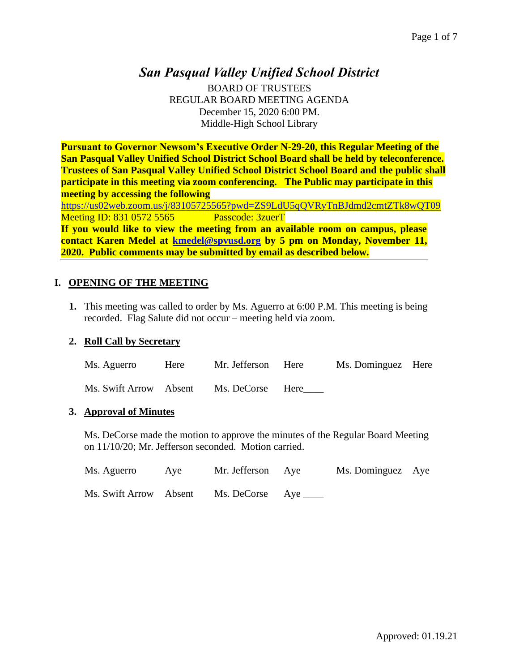# *San Pasqual Valley Unified School District*

BOARD OF TRUSTEES REGULAR BOARD MEETING AGENDA December 15, 2020 6:00 PM. Middle-High School Library

**Pursuant to Governor Newsom's Executive Order N-29-20, this Regular Meeting of the San Pasqual Valley Unified School District School Board shall be held by teleconference. Trustees of San Pasqual Valley Unified School District School Board and the public shall participate in this meeting via zoom conferencing. The Public may participate in this meeting by accessing the following** 

<https://us02web.zoom.us/j/83105725565?pwd=ZS9LdU5qQVRyTnBJdmd2cmtZTk8wQT09> Meeting ID: 831 0572 5565 Passcode: 3zuerT **If you would like to view the meeting from an available room on campus, please** 

**contact Karen Medel at [kmedel@spvusd.org](mailto:kmedel@spvusd.org) by 5 pm on Monday, November 11, 2020. Public comments may be submitted by email as described below.** 

## **I. OPENING OF THE MEETING**

**1.** This meeting was called to order by Ms. Aguerro at 6:00 P.M. This meeting is being recorded. Flag Salute did not occur – meeting held via zoom.

## **2. Roll Call by Secretary**

| Ms. Aguerro            | Here | Mr. Jefferson Here | Ms. Dominguez Here |  |
|------------------------|------|--------------------|--------------------|--|
| Ms. Swift Arrow Absent |      | Ms. DeCorse Here   |                    |  |

## **3. Approval of Minutes**

Ms. DeCorse made the motion to approve the minutes of the Regular Board Meeting on 11/10/20; Mr. Jefferson seconded. Motion carried.

| Ms. Aguerro            | Ave | Mr. Jefferson Aye     | Ms. Dominguez Aye |  |
|------------------------|-----|-----------------------|-------------------|--|
| Ms. Swift Arrow Absent |     | Ms. DeCorse Aye _____ |                   |  |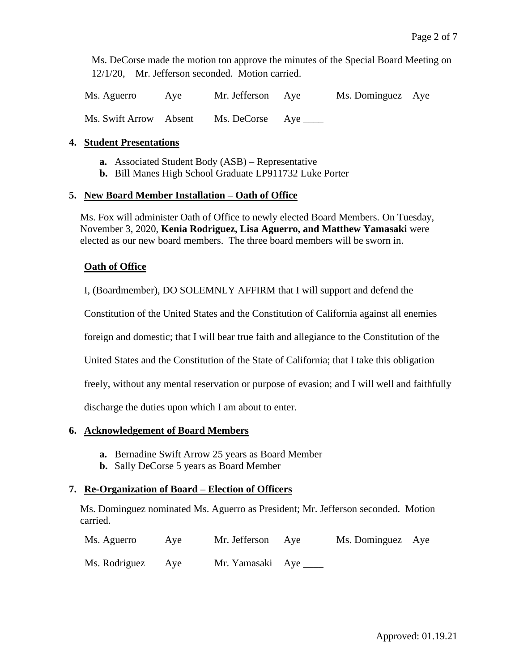Ms. DeCorse made the motion ton approve the minutes of the Special Board Meeting on 12/1/20, Mr. Jefferson seconded. Motion carried.

Ms. Aguerro Aye Mr. Jefferson Aye Ms. Dominguez Aye Ms. Swift Arrow Absent Ms. DeCorse Aye \_\_\_\_

## **4. Student Presentations**

- **a.** Associated Student Body (ASB) Representative
- **b.** Bill Manes High School Graduate LP911732 Luke Porter

## **5. New Board Member Installation – Oath of Office**

Ms. Fox will administer Oath of Office to newly elected Board Members. On Tuesday, November 3, 2020, **Kenia Rodriguez, Lisa Aguerro, and Matthew Yamasaki** were elected as our new board members. The three board members will be sworn in.

## **Oath of Office**

I, (Boardmember), DO SOLEMNLY AFFIRM that I will support and defend the

Constitution of the United States and the Constitution of California against all enemies

foreign and domestic; that I will bear true faith and allegiance to the Constitution of the

United States and the Constitution of the State of California; that I take this obligation

freely, without any mental reservation or purpose of evasion; and I will well and faithfully

discharge the duties upon which I am about to enter.

## **6. Acknowledgement of Board Members**

- **a.** Bernadine Swift Arrow 25 years as Board Member
- **b.** Sally DeCorse 5 years as Board Member

## **7. Re-Organization of Board – Election of Officers**

Ms. Dominguez nominated Ms. Aguerro as President; Mr. Jefferson seconded. Motion carried.

| Ms. Aguerro       | Ave | Mr. Jefferson Aye      | Ms. Dominguez Aye |  |
|-------------------|-----|------------------------|-------------------|--|
| Ms. Rodriguez Aye |     | Mr. Yamasaki Aye _____ |                   |  |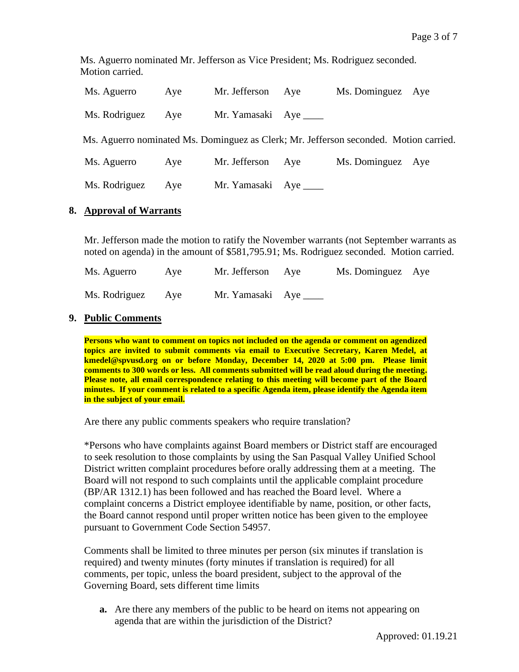Ms. Aguerro nominated Mr. Jefferson as Vice President; Ms. Rodriguez seconded. Motion carried.

| Ms. Aguerro   | Aye | Mr. Jefferson Aye       | Ms. Dominguez Aye                                                                     |  |
|---------------|-----|-------------------------|---------------------------------------------------------------------------------------|--|
| Ms. Rodriguez | Aye | Mr. Yamasaki Aye ______ |                                                                                       |  |
|               |     |                         | Ms. Aguerro nominated Ms. Dominguez as Clerk; Mr. Jefferson seconded. Motion carried. |  |
| Ms. Aguerro   | Aye | Mr. Jefferson Aye       | Ms. Dominguez Aye                                                                     |  |
| Ms. Rodriguez | Aye | Mr. Yamasaki Aye        |                                                                                       |  |

## **8. Approval of Warrants**

Mr. Jefferson made the motion to ratify the November warrants (not September warrants as noted on agenda) in the amount of \$581,795.91; Ms. Rodriguez seconded. Motion carried.

| Ms. Aguerro   | Ave | Mr. Jefferson Aye     | Ms. Dominguez Aye |  |
|---------------|-----|-----------------------|-------------------|--|
| Ms. Rodriguez | Ave | Mr. Yamasaki Aye ____ |                   |  |

## **9. Public Comments**

**Persons who want to comment on topics not included on the agenda or comment on agendized topics are invited to submit comments via email to Executive Secretary, Karen Medel, at kmedel@spvusd.org on or before Monday, December 14, 2020 at 5:00 pm. Please limit comments to 300 words or less. All comments submitted will be read aloud during the meeting. Please note, all email correspondence relating to this meeting will become part of the Board minutes. If your comment is related to a specific Agenda item, please identify the Agenda item in the subject of your email.**

Are there any public comments speakers who require translation?

\*Persons who have complaints against Board members or District staff are encouraged to seek resolution to those complaints by using the San Pasqual Valley Unified School District written complaint procedures before orally addressing them at a meeting. The Board will not respond to such complaints until the applicable complaint procedure (BP/AR 1312.1) has been followed and has reached the Board level. Where a complaint concerns a District employee identifiable by name, position, or other facts, the Board cannot respond until proper written notice has been given to the employee pursuant to Government Code Section 54957.

Comments shall be limited to three minutes per person (six minutes if translation is required) and twenty minutes (forty minutes if translation is required) for all comments, per topic, unless the board president, subject to the approval of the Governing Board, sets different time limits

**a.** Are there any members of the public to be heard on items not appearing on agenda that are within the jurisdiction of the District?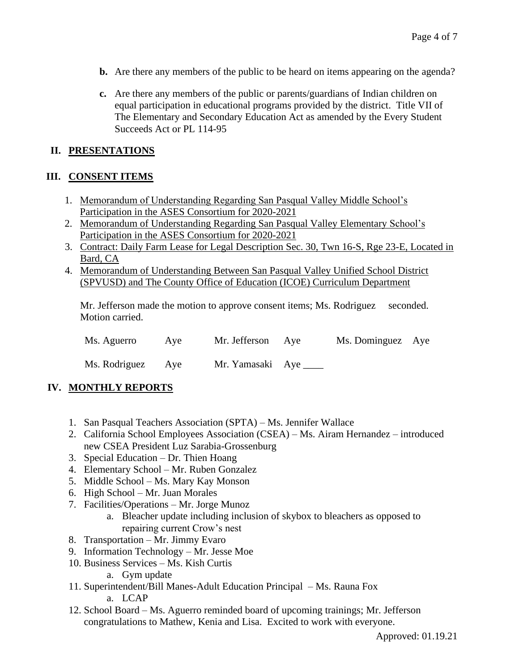- **b.** Are there any members of the public to be heard on items appearing on the agenda?
- **c.** Are there any members of the public or parents/guardians of Indian children on equal participation in educational programs provided by the district. Title VII of The Elementary and Secondary Education Act as amended by the Every Student Succeeds Act or PL 114-95

## **II. PRESENTATIONS**

## **III. CONSENT ITEMS**

- 1. Memorandum of Understanding Regarding San Pasqual Valley Middle School's Participation in the ASES Consortium for 2020-2021
- 2. Memorandum of Understanding Regarding San Pasqual Valley Elementary School's Participation in the ASES Consortium for 2020-2021
- 3. Contract: Daily Farm Lease for Legal Description Sec. 30, Twn 16-S, Rge 23-E, Located in Bard, CA
- 4. Memorandum of Understanding Between San Pasqual Valley Unified School District (SPVUSD) and The County Office of Education (ICOE) Curriculum Department

Mr. Jefferson made the motion to approve consent items; Ms. Rodriguez seconded. Motion carried.

| Ms. Aguerro       | Ave | Mr. Jefferson Aye     | Ms. Dominguez Aye |  |
|-------------------|-----|-----------------------|-------------------|--|
| Ms. Rodriguez Aye |     | Mr. Yamasaki Aye ____ |                   |  |

## **IV. MONTHLY REPORTS**

- 1. San Pasqual Teachers Association (SPTA) Ms. Jennifer Wallace
- 2. California School Employees Association (CSEA) Ms. Airam Hernandez introduced new CSEA President Luz Sarabia-Grossenburg
- 3. Special Education Dr. Thien Hoang
- 4. Elementary School Mr. Ruben Gonzalez
- 5. Middle School Ms. Mary Kay Monson
- 6. High School Mr. Juan Morales
- 7. Facilities/Operations Mr. Jorge Munoz
	- a. Bleacher update including inclusion of skybox to bleachers as opposed to repairing current Crow's nest
- 8. Transportation Mr. Jimmy Evaro
- 9. Information Technology Mr. Jesse Moe
- 10. Business Services Ms. Kish Curtis
	- a. Gym update
- 11. Superintendent/Bill Manes-Adult Education Principal Ms. Rauna Fox a. LCAP
- 12. School Board Ms. Aguerro reminded board of upcoming trainings; Mr. Jefferson congratulations to Mathew, Kenia and Lisa. Excited to work with everyone.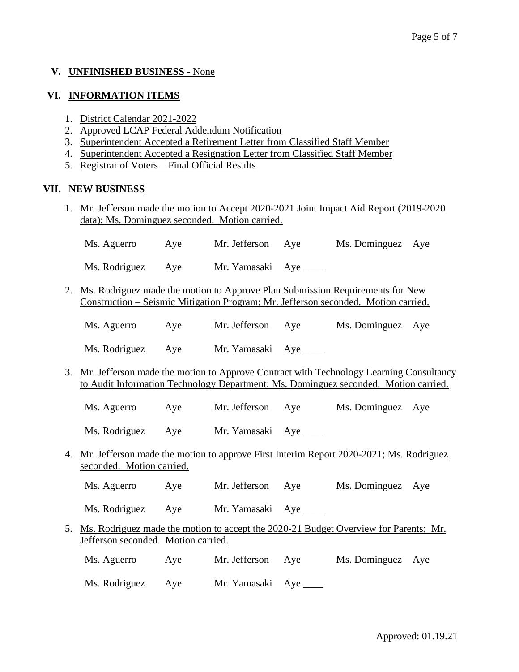## **V. UNFINISHED BUSINESS** - None

### **VI. INFORMATION ITEMS**

- 1. District Calendar 2021-2022
- 2. Approved LCAP Federal Addendum Notification
- 3. Superintendent Accepted a Retirement Letter from Classified Staff Member
- 4. Superintendent Accepted a Resignation Letter from Classified Staff Member
- 5. Registrar of Voters Final Official Results

### **VII. NEW BUSINESS**

1. Mr. Jefferson made the motion to Accept 2020-2021 Joint Impact Aid Report (2019-2020 data); Ms. Dominguez seconded. Motion carried.

Ms. Rodriguez Aye Mr. Yamasaki Aye \_\_\_\_\_

- 2. Ms. Rodriguez made the motion to Approve Plan Submission Requirements for New Construction – Seismic Mitigation Program; Mr. Jefferson seconded. Motion carried.
	- Ms. Aguerro Aye Mr. Jefferson Aye Ms. Dominguez Aye

Ms. Rodriguez Aye Mr. Yamasaki Aye \_\_\_\_\_

- 3. Mr. Jefferson made the motion to Approve Contract with Technology Learning Consultancy to Audit Information Technology Department; Ms. Dominguez seconded. Motion carried.
	- Ms. Aguerro Aye Mr. Jefferson Aye Ms. Dominguez Aye

Ms. Rodriguez Aye Mr. Yamasaki Aye

4. Mr. Jefferson made the motion to approve First Interim Report 2020-2021; Ms. Rodriguez seconded. Motion carried.

Ms. Aguerro Aye Mr. Jefferson Aye Ms. Dominguez Aye

Ms. Rodriguez Aye Mr. Yamasaki Aye

- 5. Ms. Rodriguez made the motion to accept the 2020-21 Budget Overview for Parents; Mr. Jefferson seconded. Motion carried.
	- Ms. Aguerro Aye Mr. Jefferson Aye Ms. Dominguez Aye

Ms. Rodriguez Aye Mr. Yamasaki Aye \_\_\_\_\_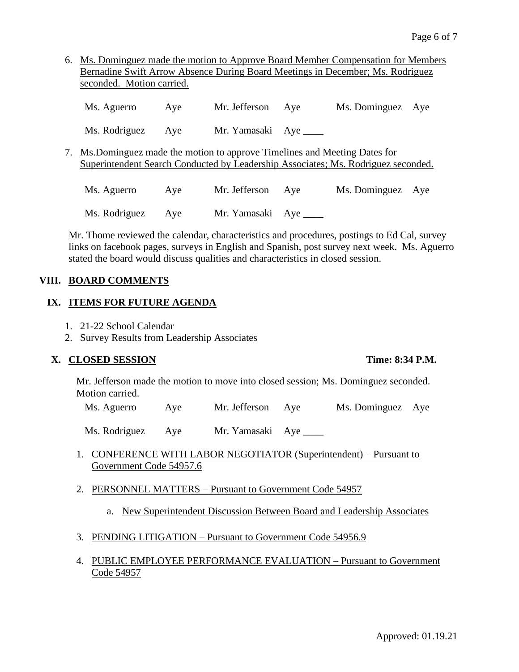6. Ms. Dominguez made the motion to Approve Board Member Compensation for Members Bernadine Swift Arrow Absence During Board Meetings in December; Ms. Rodriguez seconded. Motion carried.

| Ms. Aguerro                                                                                                                                                     | Aye | Mr. Jefferson           | Aye | Ms. Dominguez     | Aye |
|-----------------------------------------------------------------------------------------------------------------------------------------------------------------|-----|-------------------------|-----|-------------------|-----|
| Ms. Rodriguez                                                                                                                                                   | Aye | Mr. Yamasaki Aye ______ |     |                   |     |
| 7. Ms.Dominguez made the motion to approve Timelines and Meeting Dates for<br>Superintendent Search Conducted by Leadership Associates; Ms. Rodriguez seconded. |     |                         |     |                   |     |
| Ms. Aguerro                                                                                                                                                     | Aye | Mr. Jefferson           | Aye | Ms. Dominguez Aye |     |
| Ms. Rodriguez                                                                                                                                                   | Aye | Mr. Yamasaki Aye        |     |                   |     |

Mr. Thome reviewed the calendar, characteristics and procedures, postings to Ed Cal, survey links on facebook pages, surveys in English and Spanish, post survey next week. Ms. Aguerro stated the board would discuss qualities and characteristics in closed session.

## **VIII. BOARD COMMENTS**

## **IX. ITEMS FOR FUTURE AGENDA**

- 1. 21-22 School Calendar
- 2. Survey Results from Leadership Associates

## **X. CLOSED SESSION Time: 8:34 P.M.**

Mr. Jefferson made the motion to move into closed session; Ms. Dominguez seconded. Motion carried.

Ms. Aguerro Aye Mr. Jefferson Aye Ms. Dominguez Aye

Ms. Rodriguez Aye Mr. Yamasaki Aye

- 1. CONFERENCE WITH LABOR NEGOTIATOR (Superintendent) Pursuant to Government Code 54957.6
- 2. PERSONNEL MATTERS Pursuant to Government Code 54957
	- a. New Superintendent Discussion Between Board and Leadership Associates
- 3. PENDING LITIGATION Pursuant to Government Code 54956.9
- 4. PUBLIC EMPLOYEE PERFORMANCE EVALUATION Pursuant to Government Code 54957